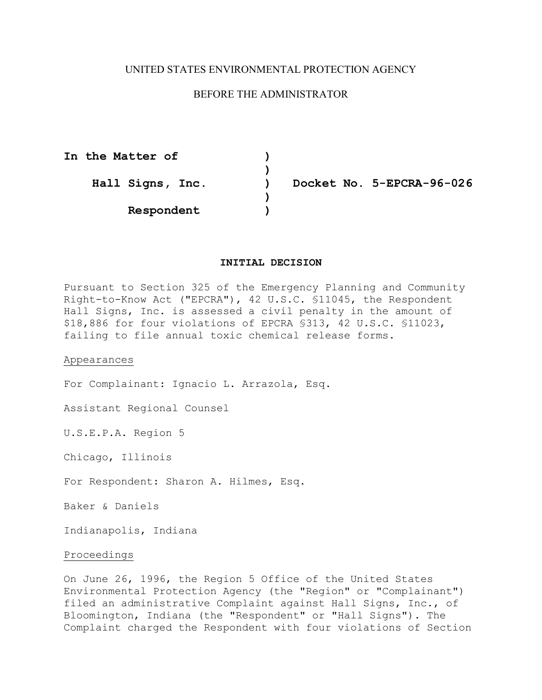# UNITED STATES ENVIRONMENTAL PROTECTION AGENCY

# BEFORE THE ADMINISTRATOR

**In the Matter of ) ) ) Respondent )** 

**Hall Signs, Inc. ) Docket No. 5-EPCRA-96-026** 

# **INITIAL DECISION**

Pursuant to Section 325 of the Emergency Planning and Community Right-to-Know Act ("EPCRA"), 42 U.S.C. §11045, the Respondent Hall Signs, Inc. is assessed a civil penalty in the amount of \$18,886 for four violations of EPCRA §313, 42 U.S.C. §11023, failing to file annual toxic chemical release forms.

Appearances

For Complainant: Ignacio L. Arrazola, Esq.

Assistant Regional Counsel

U.S.E.P.A. Region 5

Chicago, Illinois

For Respondent: Sharon A. Hilmes, Esq.

Baker & Daniels

Indianapolis, Indiana

## Proceedings

On June 26, 1996, the Region 5 Office of the United States Environmental Protection Agency (the "Region" or "Complainant") filed an administrative Complaint against Hall Signs, Inc., of Bloomington, Indiana (the "Respondent" or "Hall Signs"). The Complaint charged the Respondent with four violations of Section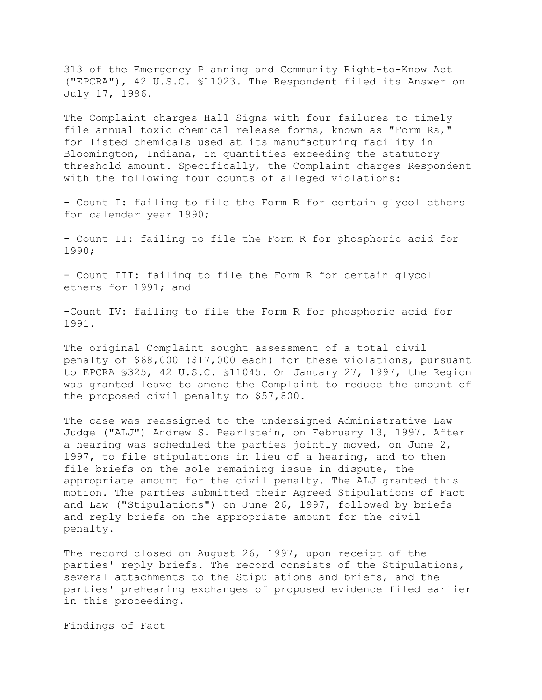313 of the Emergency Planning and Community Right-to-Know Act ("EPCRA"), 42 U.S.C. §11023. The Respondent filed its Answer on July 17, 1996.

The Complaint charges Hall Signs with four failures to timely file annual toxic chemical release forms, known as "Form Rs," for listed chemicals used at its manufacturing facility in Bloomington, Indiana, in quantities exceeding the statutory threshold amount. Specifically, the Complaint charges Respondent with the following four counts of alleged violations:

 - Count I: failing to file the Form R for certain glycol ethers for calendar year 1990;

- Count II: failing to file the Form R for phosphoric acid for 1990;

- Count III: failing to file the Form R for certain glycol ethers for 1991; and

-Count IV: failing to file the Form R for phosphoric acid for 1991.

The original Complaint sought assessment of a total civil penalty of \$68,000 (\$17,000 each) for these violations, pursuant to EPCRA §325, 42 U.S.C. §11045. On January 27, 1997, the Region was granted leave to amend the Complaint to reduce the amount of the proposed civil penalty to \$57,800.

The case was reassigned to the undersigned Administrative Law Judge ("ALJ") Andrew S. Pearlstein, on February 13, 1997. After a hearing was scheduled the parties jointly moved, on June 2, 1997, to file stipulations in lieu of a hearing, and to then file briefs on the sole remaining issue in dispute, the appropriate amount for the civil penalty. The ALJ granted this motion. The parties submitted their Agreed Stipulations of Fact and Law ("Stipulations") on June 26, 1997, followed by briefs and reply briefs on the appropriate amount for the civil penalty.

The record closed on August 26, 1997, upon receipt of the parties' reply briefs. The record consists of the Stipulations, several attachments to the Stipulations and briefs, and the parties' prehearing exchanges of proposed evidence filed earlier in this proceeding.

#### Findings of Fact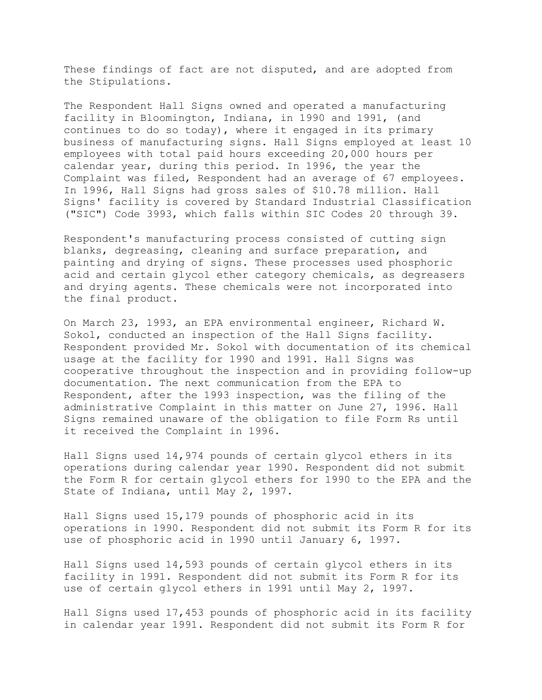These findings of fact are not disputed, and are adopted from the Stipulations.

The Respondent Hall Signs owned and operated a manufacturing facility in Bloomington, Indiana, in 1990 and 1991, (and continues to do so today), where it engaged in its primary business of manufacturing signs. Hall Signs employed at least 10 employees with total paid hours exceeding 20,000 hours per calendar year, during this period. In 1996, the year the Complaint was filed, Respondent had an average of 67 employees. In 1996, Hall Signs had gross sales of \$10.78 million. Hall Signs' facility is covered by Standard Industrial Classification ("SIC") Code 3993, which falls within SIC Codes 20 through 39.

Respondent's manufacturing process consisted of cutting sign blanks, degreasing, cleaning and surface preparation, and painting and drying of signs. These processes used phosphoric acid and certain glycol ether category chemicals, as degreasers and drying agents. These chemicals were not incorporated into the final product.

On March 23, 1993, an EPA environmental engineer, Richard W. Sokol, conducted an inspection of the Hall Signs facility. Respondent provided Mr. Sokol with documentation of its chemical usage at the facility for 1990 and 1991. Hall Signs was cooperative throughout the inspection and in providing follow-up documentation. The next communication from the EPA to Respondent, after the 1993 inspection, was the filing of the administrative Complaint in this matter on June 27, 1996. Hall Signs remained unaware of the obligation to file Form Rs until it received the Complaint in 1996.

Hall Signs used 14,974 pounds of certain glycol ethers in its operations during calendar year 1990. Respondent did not submit the Form R for certain glycol ethers for 1990 to the EPA and the State of Indiana, until May 2, 1997.

Hall Signs used 15,179 pounds of phosphoric acid in its operations in 1990. Respondent did not submit its Form R for its use of phosphoric acid in 1990 until January 6, 1997.

Hall Signs used 14,593 pounds of certain glycol ethers in its facility in 1991. Respondent did not submit its Form R for its use of certain glycol ethers in 1991 until May 2, 1997.

Hall Signs used 17,453 pounds of phosphoric acid in its facility in calendar year 1991. Respondent did not submit its Form R for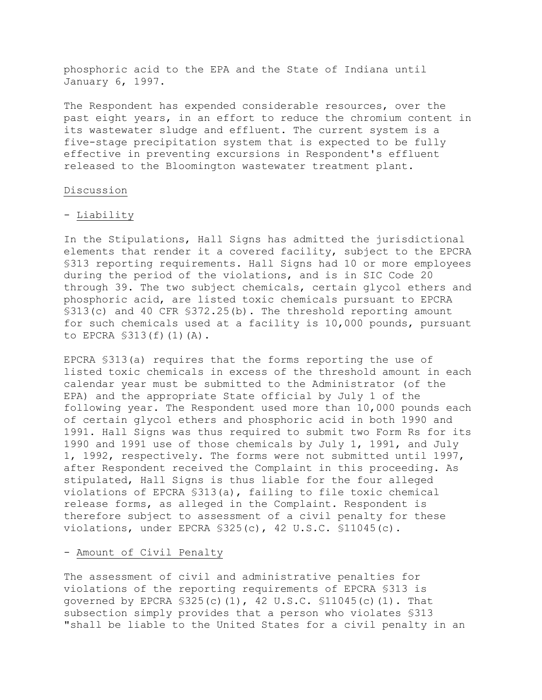phosphoric acid to the EPA and the State of Indiana until January 6, 1997.

The Respondent has expended considerable resources, over the past eight years, in an effort to reduce the chromium content in its wastewater sludge and effluent. The current system is a five-stage precipitation system that is expected to be fully effective in preventing excursions in Respondent's effluent released to the Bloomington wastewater treatment plant.

#### Discussion

#### - Liability

In the Stipulations, Hall Signs has admitted the jurisdictional elements that render it a covered facility, subject to the EPCRA §313 reporting requirements. Hall Signs had 10 or more employees during the period of the violations, and is in SIC Code 20 through 39. The two subject chemicals, certain glycol ethers and phosphoric acid, are listed toxic chemicals pursuant to EPCRA §313(c) and 40 CFR §372.25(b). The threshold reporting amount for such chemicals used at a facility is 10,000 pounds, pursuant to EPCRA §313(f)(1)(A).

EPCRA §313(a) requires that the forms reporting the use of listed toxic chemicals in excess of the threshold amount in each calendar year must be submitted to the Administrator (of the EPA) and the appropriate State official by July 1 of the following year. The Respondent used more than 10,000 pounds each of certain glycol ethers and phosphoric acid in both 1990 and 1991. Hall Signs was thus required to submit two Form Rs for its 1990 and 1991 use of those chemicals by July 1, 1991, and July 1, 1992, respectively. The forms were not submitted until 1997, after Respondent received the Complaint in this proceeding. As stipulated, Hall Signs is thus liable for the four alleged violations of EPCRA §313(a), failing to file toxic chemical release forms, as alleged in the Complaint. Respondent is therefore subject to assessment of a civil penalty for these violations, under EPCRA  $$325(c)$ , 42 U.S.C.  $$11045(c)$ .

#### - Amount of Civil Penalty

The assessment of civil and administrative penalties for violations of the reporting requirements of EPCRA §313 is governed by EPCRA  $$325(c)(1)$ , 42 U.S.C.  $$11045(c)(1)$ . That subsection simply provides that a person who violates §313 "shall be liable to the United States for a civil penalty in an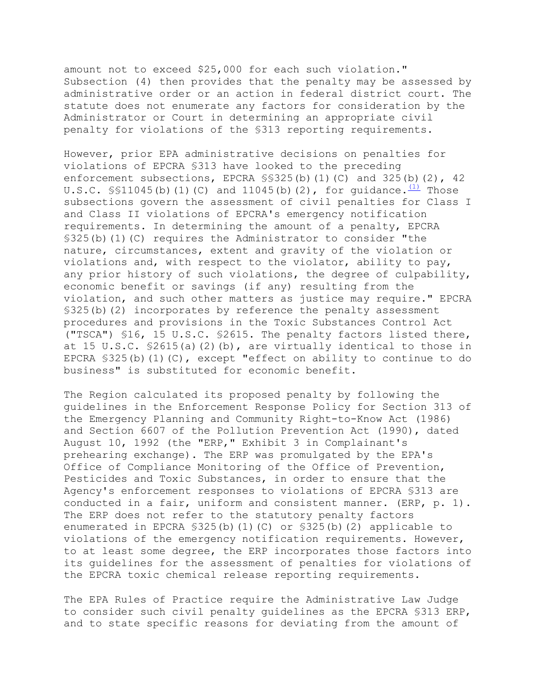amount not to exceed \$25,000 for each such violation." Subsection (4) then provides that the penalty may be assessed by administrative order or an action in federal district court. The statute does not enumerate any factors for consideration by the Administrator or Court in determining an appropriate civil penalty for violations of the §313 reporting requirements.

However, prior EPA administrative decisions on penalties for violations of EPCRA §313 have looked to the preceding enforcement subsections, EPCRA  $\S$ S325(b)(1)(C) and 325(b)(2), 42 U.S.C.  $\frac{11}{1045}$ (b)(1)(C) and 11045(b)(2), for guidance.  $\frac{1}{10}$  Those subsections govern the assessment of civil penalties for Class I and Class II violations of EPCRA's emergency notification requirements. In determining the amount of a penalty, EPCRA §325(b)(1)(C) requires the Administrator to consider "the nature, circumstances, extent and gravity of the violation or violations and, with respect to the violator, ability to pay, any prior history of such violations, the degree of culpability, economic benefit or savings (if any) resulting from the violation, and such other matters as justice may require." EPCRA §325(b)(2) incorporates by reference the penalty assessment procedures and provisions in the Toxic Substances Control Act ("TSCA") §16, 15 U.S.C. §2615. The penalty factors listed there, at 15 U.S.C.  $$2615(a)(2)(b)$ , are virtually identical to those in EPCRA §325(b)(1)(C), except "effect on ability to continue to do business" is substituted for economic benefit.

The Region calculated its proposed penalty by following the guidelines in the Enforcement Response Policy for Section 313 of the Emergency Planning and Community Right-to-Know Act (1986) and Section 6607 of the Pollution Prevention Act (1990), dated August 10, 1992 (the "ERP," Exhibit 3 in Complainant's prehearing exchange). The ERP was promulgated by the EPA's Office of Compliance Monitoring of the Office of Prevention, Pesticides and Toxic Substances, in order to ensure that the Agency's enforcement responses to violations of EPCRA §313 are conducted in a fair, uniform and consistent manner. (ERP, p. 1). The ERP does not refer to the statutory penalty factors enumerated in EPCRA §325(b)(1)(C) or §325(b)(2) applicable to violations of the emergency notification requirements. However, to at least some degree, the ERP incorporates those factors into its guidelines for the assessment of penalties for violations of the EPCRA toxic chemical release reporting requirements.

The EPA Rules of Practice require the Administrative Law Judge to consider such civil penalty guidelines as the EPCRA §313 ERP, and to state specific reasons for deviating from the amount of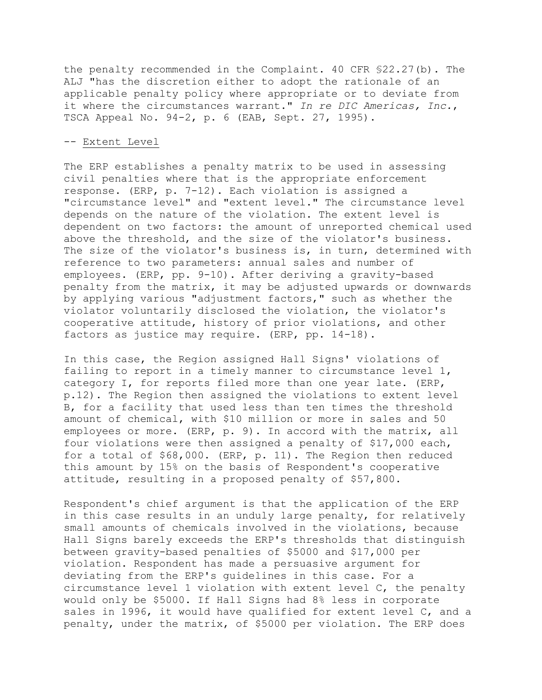the penalty recommended in the Complaint. 40 CFR §22.27(b). The ALJ "has the discretion either to adopt the rationale of an applicable penalty policy where appropriate or to deviate from it where the circumstances warrant." *In re DIC Americas, Inc.*, TSCA Appeal No. 94-2, p. 6 (EAB, Sept. 27, 1995).

#### -- Extent Level

The ERP establishes a penalty matrix to be used in assessing civil penalties where that is the appropriate enforcement response. (ERP, p. 7-12). Each violation is assigned a "circumstance level" and "extent level." The circumstance level depends on the nature of the violation. The extent level is dependent on two factors: the amount of unreported chemical used above the threshold, and the size of the violator's business. The size of the violator's business is, in turn, determined with reference to two parameters: annual sales and number of employees. (ERP, pp. 9-10). After deriving a gravity-based penalty from the matrix, it may be adjusted upwards or downwards by applying various "adjustment factors," such as whether the violator voluntarily disclosed the violation, the violator's cooperative attitude, history of prior violations, and other factors as justice may require. (ERP, pp. 14-18).

In this case, the Region assigned Hall Signs' violations of failing to report in a timely manner to circumstance level 1, category I, for reports filed more than one year late. (ERP, p.12). The Region then assigned the violations to extent level B, for a facility that used less than ten times the threshold amount of chemical, with \$10 million or more in sales and 50 employees or more. (ERP, p. 9). In accord with the matrix, all four violations were then assigned a penalty of \$17,000 each, for a total of \$68,000. (ERP, p. 11). The Region then reduced this amount by 15% on the basis of Respondent's cooperative attitude, resulting in a proposed penalty of \$57,800.

Respondent's chief argument is that the application of the ERP in this case results in an unduly large penalty, for relatively small amounts of chemicals involved in the violations, because Hall Signs barely exceeds the ERP's thresholds that distinguish between gravity-based penalties of \$5000 and \$17,000 per violation. Respondent has made a persuasive argument for deviating from the ERP's guidelines in this case. For a circumstance level 1 violation with extent level C, the penalty would only be \$5000. If Hall Signs had 8% less in corporate sales in 1996, it would have qualified for extent level C, and a penalty, under the matrix, of \$5000 per violation. The ERP does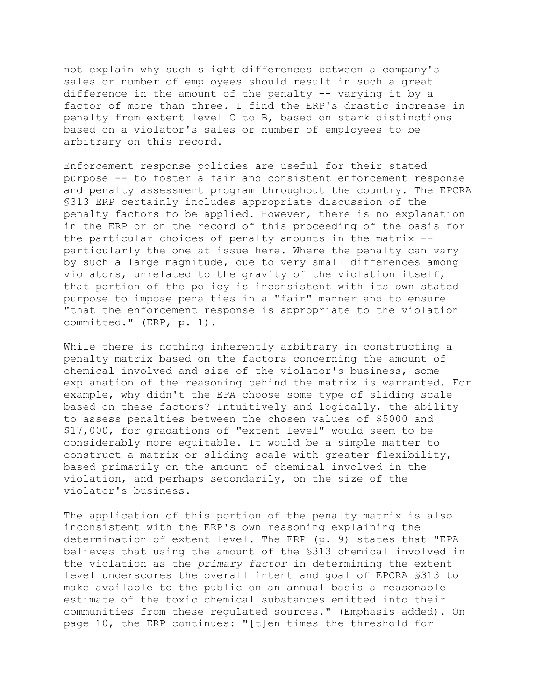not explain why such slight differences between a company's sales or number of employees should result in such a great difference in the amount of the penalty -- varying it by a factor of more than three. I find the ERP's drastic increase in penalty from extent level C to B, based on stark distinctions based on a violator's sales or number of employees to be arbitrary on this record.

Enforcement response policies are useful for their stated purpose -- to foster a fair and consistent enforcement response and penalty assessment program throughout the country. The EPCRA §313 ERP certainly includes appropriate discussion of the penalty factors to be applied. However, there is no explanation in the ERP or on the record of this proceeding of the basis for the particular choices of penalty amounts in the matrix - particularly the one at issue here. Where the penalty can vary by such a large magnitude, due to very small differences among violators, unrelated to the gravity of the violation itself, that portion of the policy is inconsistent with its own stated purpose to impose penalties in a "fair" manner and to ensure "that the enforcement response is appropriate to the violation committed." (ERP, p. 1).

While there is nothing inherently arbitrary in constructing a penalty matrix based on the factors concerning the amount of chemical involved and size of the violator's business, some explanation of the reasoning behind the matrix is warranted. For example, why didn't the EPA choose some type of sliding scale based on these factors? Intuitively and logically, the ability to assess penalties between the chosen values of \$5000 and \$17,000, for gradations of "extent level" would seem to be considerably more equitable. It would be a simple matter to construct a matrix or sliding scale with greater flexibility, based primarily on the amount of chemical involved in the violation, and perhaps secondarily, on the size of the violator's business.

The application of this portion of the penalty matrix is also inconsistent with the ERP's own reasoning explaining the determination of extent level. The ERP (p. 9) states that "EPA believes that using the amount of the §313 chemical involved in the violation as the *primary factor* in determining the extent level underscores the overall intent and goal of EPCRA §313 to make available to the public on an annual basis a reasonable estimate of the toxic chemical substances emitted into their communities from these regulated sources." (Emphasis added). On page 10, the ERP continues: "[t]en times the threshold for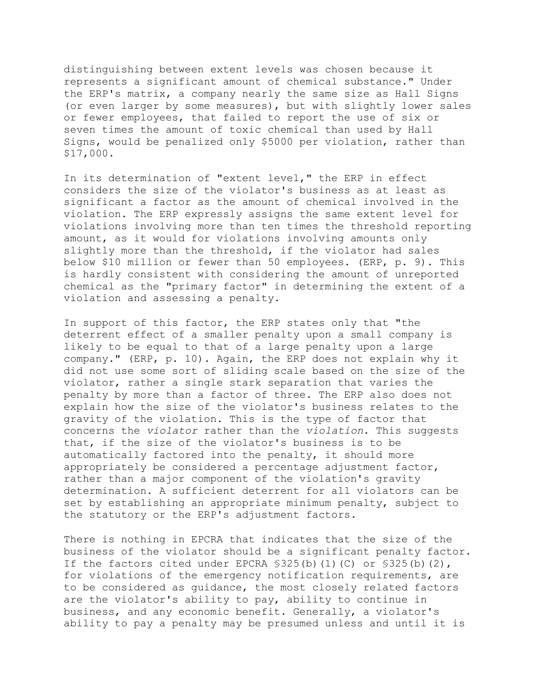distinguishing between extent levels was chosen because it represents a significant amount of chemical substance." Under the ERP's matrix, a company nearly the same size as Hall Signs (or even larger by some measures), but with slightly lower sales or fewer employees, that failed to report the use of six or seven times the amount of toxic chemical than used by Hall Signs, would be penalized only \$5000 per violation, rather than \$17,000.

In its determination of "extent level," the ERP in effect considers the size of the violator's business as at least as significant a factor as the amount of chemical involved in the violation. The ERP expressly assigns the same extent level for violations involving more than ten times the threshold reporting amount, as it would for violations involving amounts only slightly more than the threshold, if the violator had sales below \$10 million or fewer than 50 employees. (ERP, p. 9). This is hardly consistent with considering the amount of unreported chemical as the "primary factor" in determining the extent of a violation and assessing a penalty.

In support of this factor, the ERP states only that "the deterrent effect of a smaller penalty upon a small company is likely to be equal to that of a large penalty upon a large company." (ERP, p. 10). Again, the ERP does not explain why it did not use some sort of sliding scale based on the size of the violator, rather a single stark separation that varies the penalty by more than a factor of three. The ERP also does not explain how the size of the violator's business relates to the gravity of the violation. This is the type of factor that concerns the *violator* rather than the *violation*. This suggests that, if the size of the violator's business is to be automatically factored into the penalty, it should more appropriately be considered a percentage adjustment factor, rather than a major component of the violation's gravity determination. A sufficient deterrent for all violators can be set by establishing an appropriate minimum penalty, subject to the statutory or the ERP's adjustment factors.

There is nothing in EPCRA that indicates that the size of the business of the violator should be a significant penalty factor. If the factors cited under EPCRA §325(b)(1)(C) or §325(b)(2), for violations of the emergency notification requirements, are to be considered as guidance, the most closely related factors are the violator's ability to pay, ability to continue in business, and any economic benefit. Generally, a violator's ability to pay a penalty may be presumed unless and until it is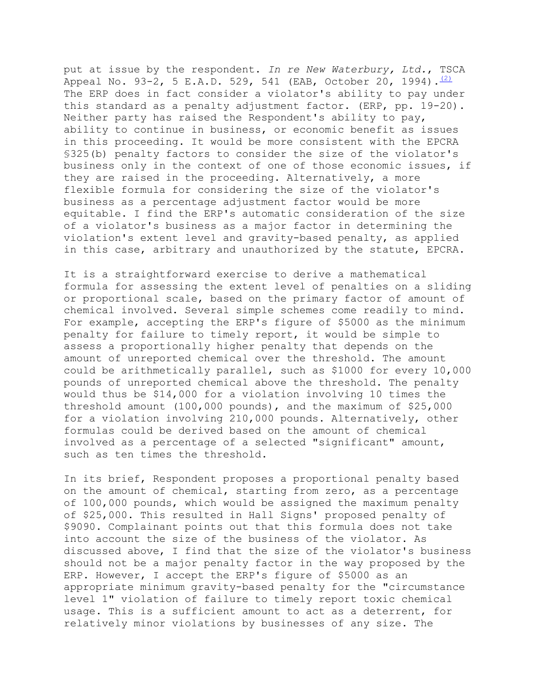put at issue by the respondent. *In re New Waterbury, Ltd.*, TSCA Appeal No. 93-2, 5 E.A.D. 529, 541 (EAB, October 20, 1994).  $\frac{(2)}{2}$ The ERP does in fact consider a violator's ability to pay under this standard as a penalty adjustment factor. (ERP, pp. 19-20). Neither party has raised the Respondent's ability to pay, ability to continue in business, or economic benefit as issues in this proceeding. It would be more consistent with the EPCRA §325(b) penalty factors to consider the size of the violator's business only in the context of one of those economic issues, if they are raised in the proceeding. Alternatively, a more flexible formula for considering the size of the violator's business as a percentage adjustment factor would be more equitable. I find the ERP's automatic consideration of the size of a violator's business as a major factor in determining the violation's extent level and gravity-based penalty, as applied in this case, arbitrary and unauthorized by the statute, EPCRA.

It is a straightforward exercise to derive a mathematical formula for assessing the extent level of penalties on a sliding or proportional scale, based on the primary factor of amount of chemical involved. Several simple schemes come readily to mind. For example, accepting the ERP's figure of \$5000 as the minimum penalty for failure to timely report, it would be simple to assess a proportionally higher penalty that depends on the amount of unreported chemical over the threshold. The amount could be arithmetically parallel, such as \$1000 for every 10,000 pounds of unreported chemical above the threshold. The penalty would thus be \$14,000 for a violation involving 10 times the threshold amount (100,000 pounds), and the maximum of \$25,000 for a violation involving 210,000 pounds. Alternatively, other formulas could be derived based on the amount of chemical involved as a percentage of a selected "significant" amount, such as ten times the threshold.

In its brief, Respondent proposes a proportional penalty based on the amount of chemical, starting from zero, as a percentage of 100,000 pounds, which would be assigned the maximum penalty of \$25,000. This resulted in Hall Signs' proposed penalty of \$9090. Complainant points out that this formula does not take into account the size of the business of the violator. As discussed above, I find that the size of the violator's business should not be a major penalty factor in the way proposed by the ERP. However, I accept the ERP's figure of \$5000 as an appropriate minimum gravity-based penalty for the "circumstance level 1" violation of failure to timely report toxic chemical usage. This is a sufficient amount to act as a deterrent, for relatively minor violations by businesses of any size. The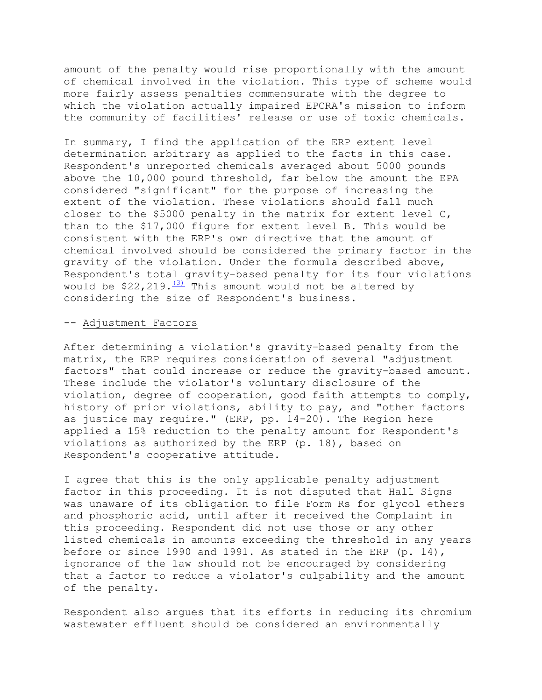amount of the penalty would rise proportionally with the amount of chemical involved in the violation. This type of scheme would more fairly assess penalties commensurate with the degree to which the violation actually impaired EPCRA's mission to inform the community of facilities' release or use of toxic chemicals.

In summary, I find the application of the ERP extent level determination arbitrary as applied to the facts in this case. Respondent's unreported chemicals averaged about 5000 pounds above the 10,000 pound threshold, far below the amount the EPA considered "significant" for the purpose of increasing the extent of the violation. These violations should fall much closer to the \$5000 penalty in the matrix for extent level C, than to the \$17,000 figure for extent level B. This would be consistent with the ERP's own directive that the amount of chemical involved should be considered the primary factor in the gravity of the violation. Under the formula described above, Respondent's total gravity-based penalty for its four violations would be  $$22,219.\frac{(3)}{115}$  This amount would not be altered by considering the size of Respondent's business.

### -- Adjustment Factors

After determining a violation's gravity-based penalty from the matrix, the ERP requires consideration of several "adjustment factors" that could increase or reduce the gravity-based amount. These include the violator's voluntary disclosure of the violation, degree of cooperation, good faith attempts to comply, history of prior violations, ability to pay, and "other factors as justice may require." (ERP, pp. 14-20). The Region here applied a 15% reduction to the penalty amount for Respondent's violations as authorized by the ERP (p. 18), based on Respondent's cooperative attitude.

I agree that this is the only applicable penalty adjustment factor in this proceeding. It is not disputed that Hall Signs was unaware of its obligation to file Form Rs for glycol ethers and phosphoric acid, until after it received the Complaint in this proceeding. Respondent did not use those or any other listed chemicals in amounts exceeding the threshold in any years before or since 1990 and 1991. As stated in the ERP (p. 14), ignorance of the law should not be encouraged by considering that a factor to reduce a violator's culpability and the amount of the penalty.

Respondent also argues that its efforts in reducing its chromium wastewater effluent should be considered an environmentally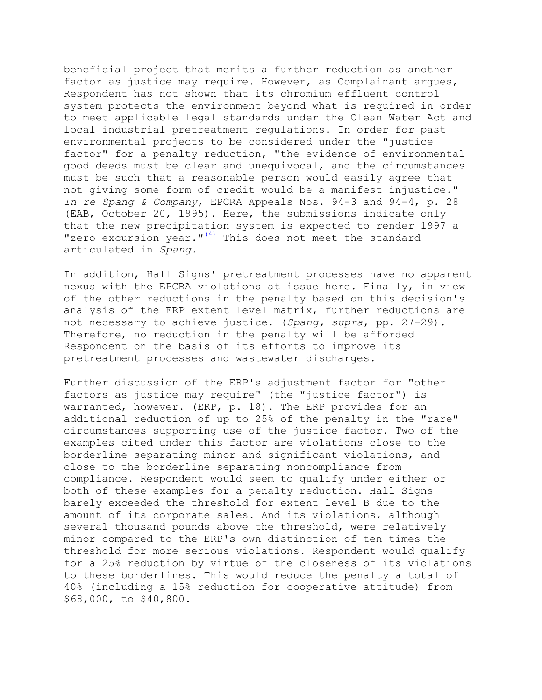"zero excursion year."<sup>(4)</sup> This does not meet the standard articulated in *Spang.* beneficial project that merits a further reduction as another factor as justice may require. However, as Complainant argues, Respondent has not shown that its chromium effluent control system protects the environment beyond what is required in order to meet applicable legal standards under the Clean Water Act and local industrial pretreatment regulations. In order for past environmental projects to be considered under the "justice factor" for a penalty reduction, "the evidence of environmental good deeds must be clear and unequivocal, and the circumstances must be such that a reasonable person would easily agree that not giving some form of credit would be a manifest injustice." *In re Spang & Company*, EPCRA Appeals Nos. 94-3 and 94-4, p. 28 (EAB, October 20, 1995). Here, the submissions indicate only that the new precipitation system is expected to render 1997 a

In addition, Hall Signs' pretreatment processes have no apparent nexus with the EPCRA violations at issue here. Finally, in view of the other reductions in the penalty based on this decision's analysis of the ERP extent level matrix, further reductions are not necessary to achieve justice. (*Spang, supra*, pp. 27-29). Therefore, no reduction in the penalty will be afforded Respondent on the basis of its efforts to improve its pretreatment processes and wastewater discharges.

Further discussion of the ERP's adjustment factor for "other factors as justice may require" (the "justice factor") is warranted, however. (ERP, p. 18). The ERP provides for an additional reduction of up to 25% of the penalty in the "rare" circumstances supporting use of the justice factor. Two of the examples cited under this factor are violations close to the borderline separating minor and significant violations, and close to the borderline separating noncompliance from compliance. Respondent would seem to qualify under either or both of these examples for a penalty reduction. Hall Signs barely exceeded the threshold for extent level B due to the amount of its corporate sales. And its violations, although several thousand pounds above the threshold, were relatively minor compared to the ERP's own distinction of ten times the threshold for more serious violations. Respondent would qualify for a 25% reduction by virtue of the closeness of its violations to these borderlines. This would reduce the penalty a total of 40% (including a 15% reduction for cooperative attitude) from \$68,000, to \$40,800.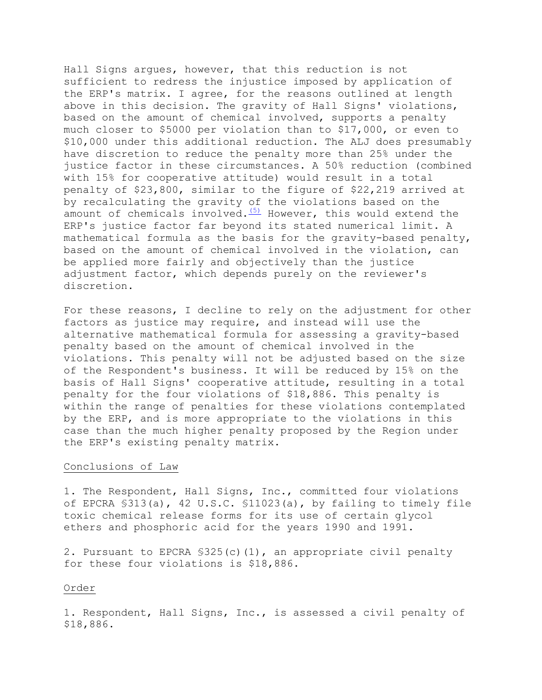Hall Signs argues, however, that this reduction is not sufficient to redress the injustice imposed by application of the ERP's matrix. I agree, for the reasons outlined at length above in this decision. The gravity of Hall Signs' violations, based on the amount of chemical involved, supports a penalty much closer to \$5000 per violation than to \$17,000, or even to \$10,000 under this additional reduction. The ALJ does presumably have discretion to reduce the penalty more than 25% under the justice factor in these circumstances. A 50% reduction (combined with 15% for cooperative attitude) would result in a total penalty of \$23,800, similar to the figure of \$22,219 arrived at by recalculating the gravity of the violations based on the amount of chemicals involved[.](file://w1818tdcay008/share/Projects/rxx00031/dev_internet_aljhomep/web/orders/hall.htm%23N_5_)  $(5)$  However, this would extend the ERP's justice factor far beyond its stated numerical limit. A mathematical formula as the basis for the gravity-based penalty, based on the amount of chemical involved in the violation, can be applied more fairly and objectively than the justice adjustment factor, which depends purely on the reviewer's discretion.

For these reasons, I decline to rely on the adjustment for other factors as justice may require, and instead will use the alternative mathematical formula for assessing a gravity-based penalty based on the amount of chemical involved in the violations. This penalty will not be adjusted based on the size of the Respondent's business. It will be reduced by 15% on the basis of Hall Signs' cooperative attitude, resulting in a total penalty for the four violations of \$18,886. This penalty is within the range of penalties for these violations contemplated by the ERP, and is more appropriate to the violations in this case than the much higher penalty proposed by the Region under the ERP's existing penalty matrix.

### Conclusions of Law

1. The Respondent, Hall Signs, Inc., committed four violations of EPCRA §313(a), 42 U.S.C. §11023(a), by failing to timely file toxic chemical release forms for its use of certain glycol ethers and phosphoric acid for the years 1990 and 1991.

2. Pursuant to EPCRA  $$325(c)(1)$ , an appropriate civil penalty for these four violations is \$18,886.

order<br>1. Respondent, Hall Signs, Inc., is assessed a civil penalty of \$18,886.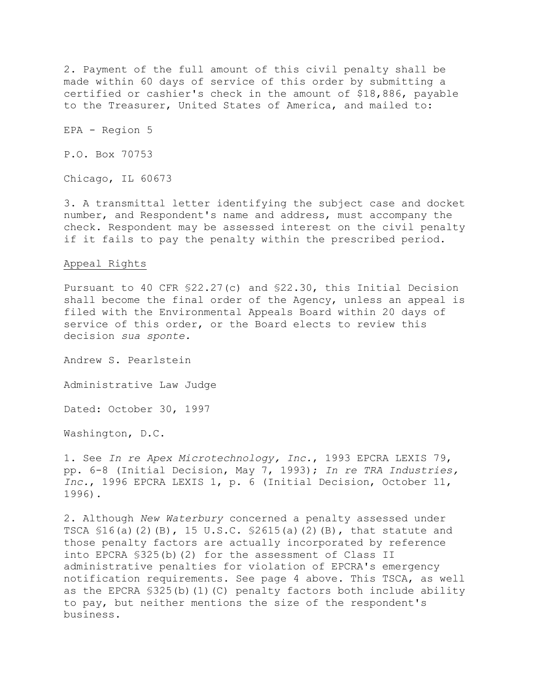2. Payment of the full amount of this civil penalty shall be made within 60 days of service of this order by submitting a certified or cashier's check in the amount of \$18,886, payable to the Treasurer, United States of America, and mailed to:

EPA - Region 5

P.O. Box 70753

Chicago, IL 60673

3. A transmittal letter identifying the subject case and docket number, and Respondent's name and address, must accompany the check. Respondent may be assessed interest on the civil penalty if it fails to pay the penalty within the prescribed period.

#### Appeal Rights

Pursuant to 40 CFR §22.27(c) and §22.30, this Initial Decision shall become the final order of the Agency, unless an appeal is filed with the Environmental Appeals Board within 20 days of service of this order, or the Board elects to review this decision *sua sponte.* 

Andrew S. Pearlstein

Administrative Law Judge

Dated: October 30, 1997

Washington, D.C.

1. See *In re Apex Microtechnology, Inc.*, 1993 EPCRA LEXIS 79, pp. 6-8 (Initial Decision, May 7, 1993); *In re TRA Industries, Inc.*, 1996 EPCRA LEXIS 1, p. 6 (Initial Decision, October 11, 1996).

2. Although *New Waterbury* concerned a penalty assessed under TSCA §16(a)(2)(B), 15 U.S.C. §2615(a)(2)(B), that statute and those penalty factors are actually incorporated by reference into EPCRA §325(b)(2) for the assessment of Class II administrative penalties for violation of EPCRA's emergency notification requirements. See page 4 above. This TSCA, as well as the EPCRA  $$325(b)(1)(C)$  penalty factors both include ability to pay, but neither mentions the size of the respondent's business.